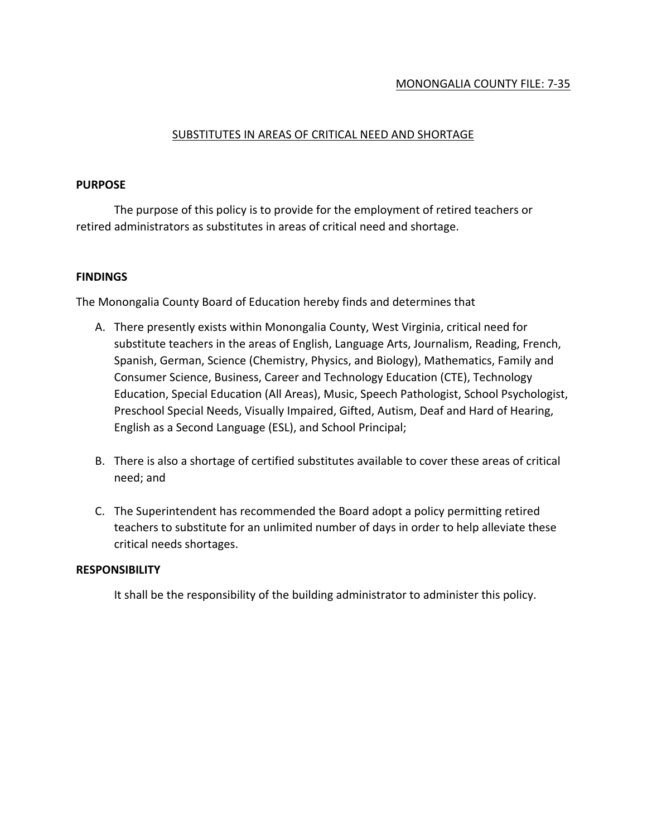# MONONGALIA COUNTY FILE: 7-35

# SUBSTITUTES IN AREAS OF CRITICAL NEED AND SHORTAGE

### **PURPOSE**

The purpose of this policy is to provide for the employment of retired teachers or retired administrators as substitutes in areas of critical need and shortage.

# **FINDINGS**

The Monongalia County Board of Education hereby finds and determines that

- A. There presently exists within Monongalia County, West Virginia, critical need for substitute teachers in the areas of English, Language Arts, Journalism, Reading, French, Spanish, German, Science (Chemistry, Physics, and Biology), Mathematics, Family and Consumer Science, Business, Career and Technology Education (CTE), Technology Education, Special Education (All Areas), Music, Speech Pathologist, School Psychologist, Preschool Special Needs, Visually Impaired, Gifted, Autism, Deaf and Hard of Hearing, English as a Second Language (ESL), and School Principal;
- B. There is also a shortage of certified substitutes available to cover these areas of critical need; and
- C. The Superintendent has recommended the Board adopt a policy permitting retired teachers to substitute for an unlimited number of days in order to help alleviate these critical needs shortages.

# **RESPONSIBILITY**

It shall be the responsibility of the building administrator to administer this policy.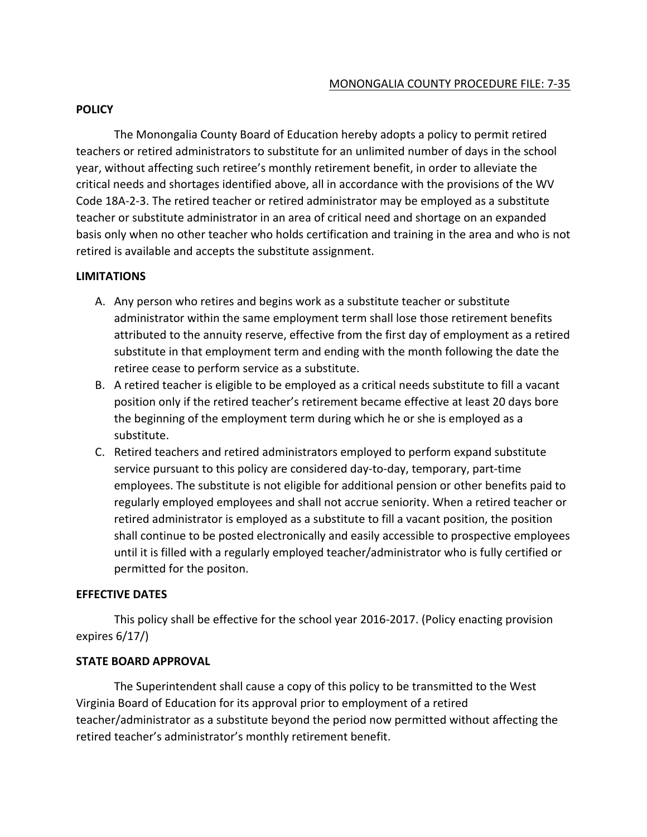# MONONGALIA COUNTY PROCEDURE FILE: 7-35

### **POLICY**

The Monongalia County Board of Education hereby adopts a policy to permit retired teachers or retired administrators to substitute for an unlimited number of days in the school year, without affecting such retiree's monthly retirement benefit, in order to alleviate the critical needs and shortages identified above, all in accordance with the provisions of the WV Code 18A-2-3. The retired teacher or retired administrator may be employed as a substitute teacher or substitute administrator in an area of critical need and shortage on an expanded basis only when no other teacher who holds certification and training in the area and who is not retired is available and accepts the substitute assignment.

### **LIMITATIONS**

- A. Any person who retires and begins work as a substitute teacher or substitute administrator within the same employment term shall lose those retirement benefits attributed to the annuity reserve, effective from the first day of employment as a retired substitute in that employment term and ending with the month following the date the retiree cease to perform service as a substitute.
- B. A retired teacher is eligible to be employed as a critical needs substitute to fill a vacant position only if the retired teacher's retirement became effective at least 20 days bore the beginning of the employment term during which he or she is employed as a substitute.
- C. Retired teachers and retired administrators employed to perform expand substitute service pursuant to this policy are considered day-to-day, temporary, part-time employees. The substitute is not eligible for additional pension or other benefits paid to regularly employed employees and shall not accrue seniority. When a retired teacher or retired administrator is employed as a substitute to fill a vacant position, the position shall continue to be posted electronically and easily accessible to prospective employees until it is filled with a regularly employed teacher/administrator who is fully certified or permitted for the positon.

#### **EFFECTIVE DATES**

This policy shall be effective for the school year 2016-2017. (Policy enacting provision expires 6/17/)

# **STATE BOARD APPROVAL**

The Superintendent shall cause a copy of this policy to be transmitted to the West Virginia Board of Education for its approval prior to employment of a retired teacher/administrator as a substitute beyond the period now permitted without affecting the retired teacher's administrator's monthly retirement benefit.